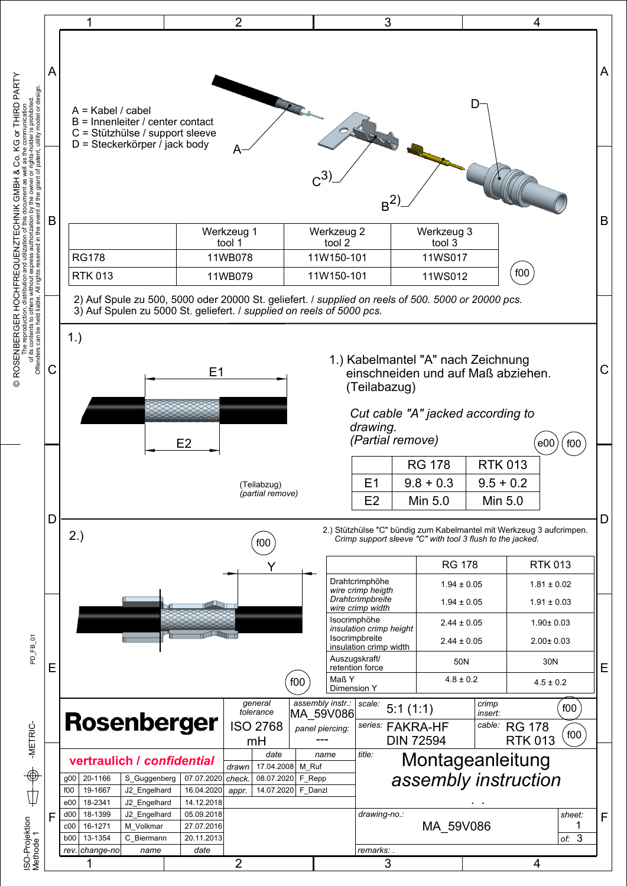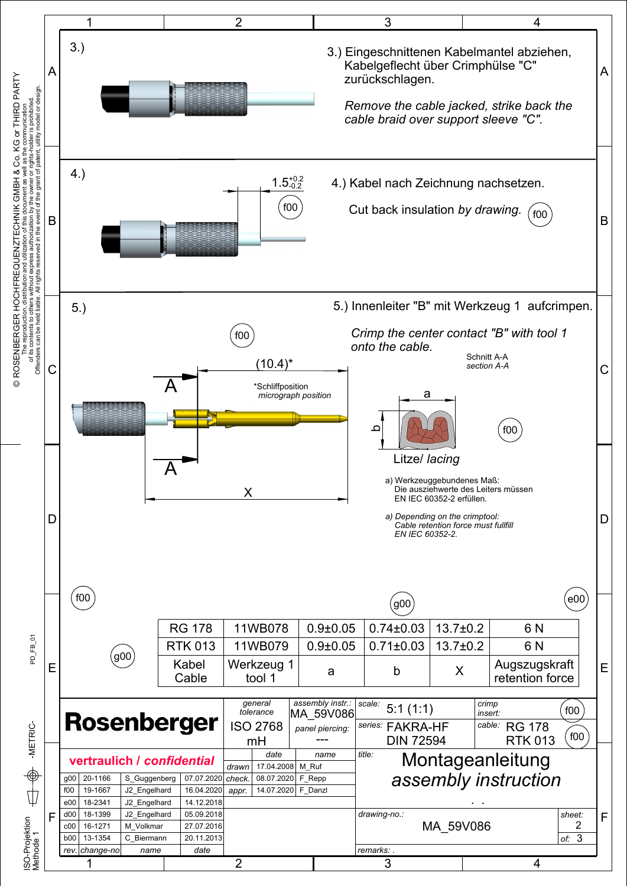